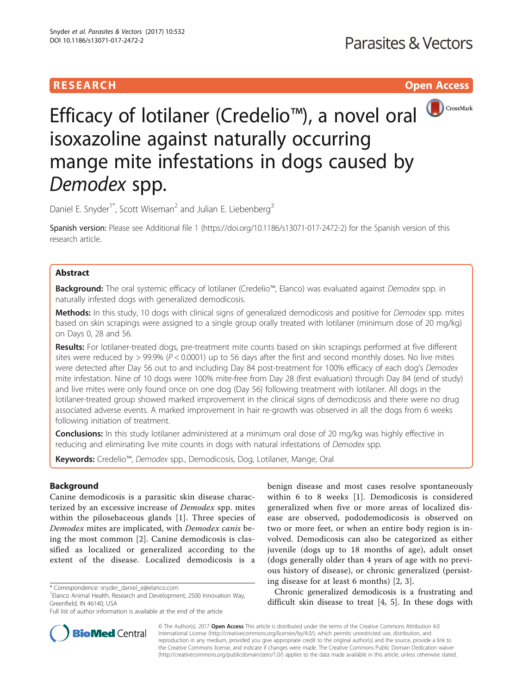# **RESEARCH CHE Open Access**



# Efficacy of lotilaner (Credelio™), a novel oral <sup>10 CrossMark</sup> isoxazoline against naturally occurring mange mite infestations in dogs caused by Demodex spp.

Daniel E. Snyder<sup>1\*</sup>, Scott Wiseman<sup>2</sup> and Julian E. Liebenberg<sup>3</sup>

Spanish version: Please see Additional file [1](#page-5-0) (<https://doi.org/10.1186/s13071-017-2472-2>) for the Spanish version of this research article.

# Abstract

**Background:** The oral systemic efficacy of lotilaner (Credelio™, Elanco) was evaluated against Demodex spp. in naturally infested dogs with generalized demodicosis.

Methods: In this study, 10 dogs with clinical signs of generalized demodicosis and positive for Demodex spp. mites based on skin scrapings were assigned to a single group orally treated with lotilaner (minimum dose of 20 mg/kg) on Days 0, 28 and 56.

Results: For lotilaner-treated dogs, pre-treatment mite counts based on skin scrapings performed at five different sites were reduced by  $> 99.9\%$  ( $P < 0.0001$ ) up to 56 days after the first and second monthly doses. No live mites were detected after Day 56 out to and including Day 84 post-treatment for 100% efficacy of each dog's Demodex mite infestation. Nine of 10 dogs were 100% mite-free from Day 28 (first evaluation) through Day 84 (end of study) and live mites were only found once on one dog (Day 56) following treatment with lotilaner. All dogs in the lotilaner-treated group showed marked improvement in the clinical signs of demodicosis and there were no drug associated adverse events. A marked improvement in hair re-growth was observed in all the dogs from 6 weeks following initiation of treatment.

**Conclusions:** In this study lotilaner administered at a minimum oral dose of 20 mg/kg was highly effective in reducing and eliminating live mite counts in dogs with natural infestations of Demodex spp.

Keywords: Credelio™, Demodex spp., Demodicosis, Dog, Lotilaner, Mange, Oral

# Background

Canine demodicosis is a parasitic skin disease characterized by an excessive increase of Demodex spp. mites within the pilosebaceous glands [\[1](#page-6-0)]. Three species of Demodex mites are implicated, with Demodex canis being the most common [\[2](#page-6-0)]. Canine demodicosis is classified as localized or generalized according to the extent of the disease. Localized demodicosis is a benign disease and most cases resolve spontaneously within 6 to 8 weeks [[1\]](#page-6-0). Demodicosis is considered generalized when five or more areas of localized disease are observed, pododemodicosis is observed on two or more feet, or when an entire body region is involved. Demodicosis can also be categorized as either juvenile (dogs up to 18 months of age), adult onset (dogs generally older than 4 years of age with no previous history of disease), or chronic generalized (persisting disease for at least 6 months) [[2, 3](#page-6-0)].

Chronic generalized demodicosis is a frustrating and difficult skin disease to treat [\[4](#page-6-0), [5\]](#page-6-0). In these dogs with



© The Author(s). 2017 **Open Access** This article is distributed under the terms of the Creative Commons Attribution 4.0 International License [\(http://creativecommons.org/licenses/by/4.0/](http://creativecommons.org/licenses/by/4.0/)), which permits unrestricted use, distribution, and reproduction in any medium, provided you give appropriate credit to the original author(s) and the source, provide a link to the Creative Commons license, and indicate if changes were made. The Creative Commons Public Domain Dedication waiver [\(http://creativecommons.org/publicdomain/zero/1.0/](http://creativecommons.org/publicdomain/zero/1.0/)) applies to the data made available in this article, unless otherwise stated.

<sup>\*</sup> Correspondence: [snyder\\_daniel\\_e@elanco.com](mailto:snyder_daniel_e@elanco.com) <sup>1</sup>

<sup>&</sup>lt;sup>1</sup> Elanco Animal Health, Research and Development, 2500 Innovation Way, Greenfield, IN 46140, USA

Full list of author information is available at the end of the article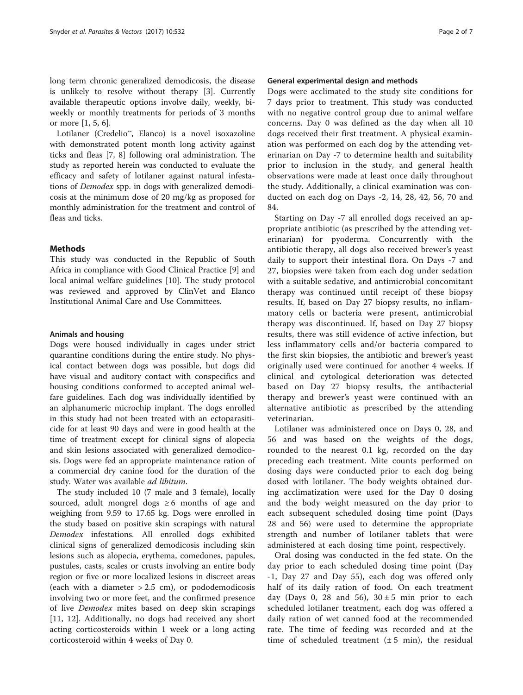long term chronic generalized demodicosis, the disease is unlikely to resolve without therapy [[3\]](#page-6-0). Currently available therapeutic options involve daily, weekly, biweekly or monthly treatments for periods of 3 months or more [[1, 5, 6\]](#page-6-0).

Lotilaner (Credelio™, Elanco) is a novel isoxazoline with demonstrated potent month long activity against ticks and fleas [[7, 8\]](#page-6-0) following oral administration. The study as reported herein was conducted to evaluate the efficacy and safety of lotilaner against natural infestations of Demodex spp. in dogs with generalized demodicosis at the minimum dose of 20 mg/kg as proposed for monthly administration for the treatment and control of fleas and ticks.

# **Methods**

This study was conducted in the Republic of South Africa in compliance with Good Clinical Practice [\[9](#page-6-0)] and local animal welfare guidelines [[10](#page-6-0)]. The study protocol was reviewed and approved by ClinVet and Elanco Institutional Animal Care and Use Committees.

# Animals and housing

Dogs were housed individually in cages under strict quarantine conditions during the entire study. No physical contact between dogs was possible, but dogs did have visual and auditory contact with conspecifics and housing conditions conformed to accepted animal welfare guidelines. Each dog was individually identified by an alphanumeric microchip implant. The dogs enrolled in this study had not been treated with an ectoparasiticide for at least 90 days and were in good health at the time of treatment except for clinical signs of alopecia and skin lesions associated with generalized demodicosis. Dogs were fed an appropriate maintenance ration of a commercial dry canine food for the duration of the study. Water was available ad libitum.

The study included 10 (7 male and 3 female), locally sourced, adult mongrel dogs  $\geq 6$  months of age and weighing from 9.59 to 17.65 kg. Dogs were enrolled in the study based on positive skin scrapings with natural Demodex infestations. All enrolled dogs exhibited clinical signs of generalized demodicosis including skin lesions such as alopecia, erythema, comedones, papules, pustules, casts, scales or crusts involving an entire body region or five or more localized lesions in discreet areas (each with a diameter  $> 2.5$  cm), or pododemodicosis involving two or more feet, and the confirmed presence of live Demodex mites based on deep skin scrapings [[11, 12](#page-6-0)]. Additionally, no dogs had received any short acting corticosteroids within 1 week or a long acting corticosteroid within 4 weeks of Day 0.

# General experimental design and methods

Dogs were acclimated to the study site conditions for 7 days prior to treatment. This study was conducted with no negative control group due to animal welfare concerns. Day 0 was defined as the day when all 10 dogs received their first treatment. A physical examination was performed on each dog by the attending veterinarian on Day -7 to determine health and suitability prior to inclusion in the study, and general health observations were made at least once daily throughout the study. Additionally, a clinical examination was conducted on each dog on Days -2, 14, 28, 42, 56, 70 and 84.

Starting on Day -7 all enrolled dogs received an appropriate antibiotic (as prescribed by the attending veterinarian) for pyoderma. Concurrently with the antibiotic therapy, all dogs also received brewer's yeast daily to support their intestinal flora. On Days -7 and 27, biopsies were taken from each dog under sedation with a suitable sedative, and antimicrobial concomitant therapy was continued until receipt of these biopsy results. If, based on Day 27 biopsy results, no inflammatory cells or bacteria were present, antimicrobial therapy was discontinued. If, based on Day 27 biopsy results, there was still evidence of active infection, but less inflammatory cells and/or bacteria compared to the first skin biopsies, the antibiotic and brewer's yeast originally used were continued for another 4 weeks. If clinical and cytological deterioration was detected based on Day 27 biopsy results, the antibacterial therapy and brewer's yeast were continued with an alternative antibiotic as prescribed by the attending veterinarian.

Lotilaner was administered once on Days 0, 28, and 56 and was based on the weights of the dogs, rounded to the nearest 0.1 kg, recorded on the day preceding each treatment. Mite counts performed on dosing days were conducted prior to each dog being dosed with lotilaner. The body weights obtained during acclimatization were used for the Day 0 dosing and the body weight measured on the day prior to each subsequent scheduled dosing time point (Days 28 and 56) were used to determine the appropriate strength and number of lotilaner tablets that were administered at each dosing time point, respectively.

Oral dosing was conducted in the fed state. On the day prior to each scheduled dosing time point (Day -1, Day 27 and Day 55), each dog was offered only half of its daily ration of food. On each treatment day (Days 0, 28 and 56),  $30 \pm 5$  min prior to each scheduled lotilaner treatment, each dog was offered a daily ration of wet canned food at the recommended rate. The time of feeding was recorded and at the time of scheduled treatment  $(\pm 5 \text{ min})$ , the residual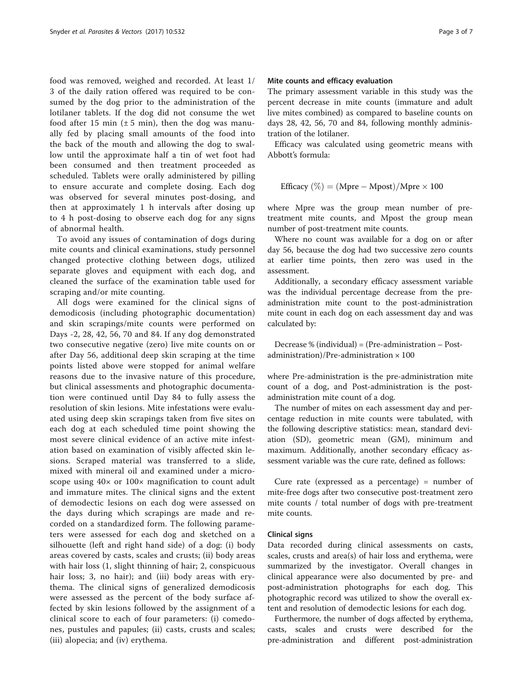food was removed, weighed and recorded. At least 1/ 3 of the daily ration offered was required to be consumed by the dog prior to the administration of the lotilaner tablets. If the dog did not consume the wet food after 15 min  $(\pm 5$  min), then the dog was manually fed by placing small amounts of the food into the back of the mouth and allowing the dog to swallow until the approximate half a tin of wet foot had been consumed and then treatment proceeded as scheduled. Tablets were orally administered by pilling to ensure accurate and complete dosing. Each dog was observed for several minutes post-dosing, and then at approximately 1 h intervals after dosing up to 4 h post-dosing to observe each dog for any signs of abnormal health.

To avoid any issues of contamination of dogs during mite counts and clinical examinations, study personnel changed protective clothing between dogs, utilized separate gloves and equipment with each dog, and cleaned the surface of the examination table used for scraping and/or mite counting.

All dogs were examined for the clinical signs of demodicosis (including photographic documentation) and skin scrapings/mite counts were performed on Days -2, 28, 42, 56, 70 and 84. If any dog demonstrated two consecutive negative (zero) live mite counts on or after Day 56, additional deep skin scraping at the time points listed above were stopped for animal welfare reasons due to the invasive nature of this procedure, but clinical assessments and photographic documentation were continued until Day 84 to fully assess the resolution of skin lesions. Mite infestations were evaluated using deep skin scrapings taken from five sites on each dog at each scheduled time point showing the most severe clinical evidence of an active mite infestation based on examination of visibly affected skin lesions. Scraped material was transferred to a slide, mixed with mineral oil and examined under a microscope using  $40 \times$  or  $100 \times$  magnification to count adult and immature mites. The clinical signs and the extent of demodectic lesions on each dog were assessed on the days during which scrapings are made and recorded on a standardized form. The following parameters were assessed for each dog and sketched on a silhouette (left and right hand side) of a dog: (i) body areas covered by casts, scales and crusts; (ii) body areas with hair loss (1, slight thinning of hair; 2, conspicuous hair loss; 3, no hair); and (iii) body areas with erythema. The clinical signs of generalized demodicosis were assessed as the percent of the body surface affected by skin lesions followed by the assignment of a clinical score to each of four parameters: (i) comedones, pustules and papules; (ii) casts, crusts and scales; (iii) alopecia; and (iv) erythema.

#### Mite counts and efficacy evaluation

The primary assessment variable in this study was the percent decrease in mite counts (immature and adult live mites combined) as compared to baseline counts on days 28, 42, 56, 70 and 84, following monthly administration of the lotilaner.

Efficacy was calculated using geometric means with Abbott's formula:

Efficacy 
$$
(\%) = (Mpre - Mpost)/Mpre \times 100
$$

where Mpre was the group mean number of pretreatment mite counts, and Mpost the group mean number of post-treatment mite counts.

Where no count was available for a dog on or after day 56, because the dog had two successive zero counts at earlier time points, then zero was used in the assessment.

Additionally, a secondary efficacy assessment variable was the individual percentage decrease from the preadministration mite count to the post-administration mite count in each dog on each assessment day and was calculated by:

Decrease % (individual) = (Pre-administration – Postadministration)/Pre-administration  $\times$  100

where Pre-administration is the pre-administration mite count of a dog, and Post-administration is the postadministration mite count of a dog.

The number of mites on each assessment day and percentage reduction in mite counts were tabulated, with the following descriptive statistics: mean, standard deviation (SD), geometric mean (GM), minimum and maximum. Additionally, another secondary efficacy assessment variable was the cure rate, defined as follows:

Cure rate (expressed as a percentage) = number of mite-free dogs after two consecutive post-treatment zero mite counts / total number of dogs with pre-treatment mite counts.

# Clinical signs

Data recorded during clinical assessments on casts, scales, crusts and area(s) of hair loss and erythema, were summarized by the investigator. Overall changes in clinical appearance were also documented by pre- and post-administration photographs for each dog. This photographic record was utilized to show the overall extent and resolution of demodectic lesions for each dog.

Furthermore, the number of dogs affected by erythema, casts, scales and crusts were described for the pre-administration and different post-administration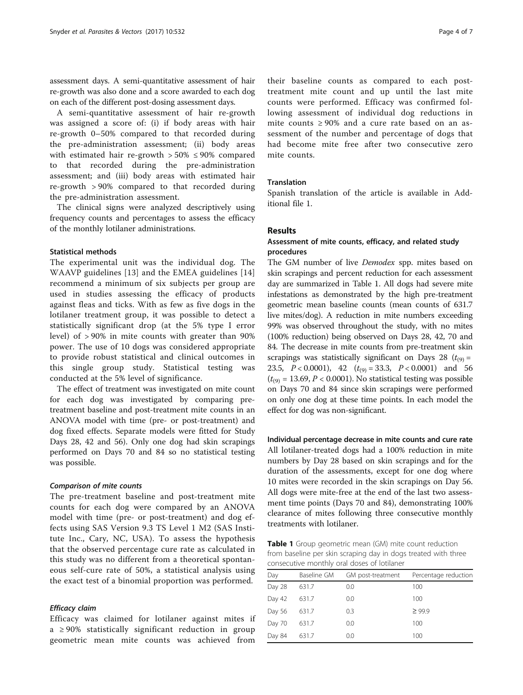assessment days. A semi-quantitative assessment of hair re-growth was also done and a score awarded to each dog on each of the different post-dosing assessment days.

A semi-quantitative assessment of hair re-growth was assigned a score of: (i) if body areas with hair re-growth 0–50% compared to that recorded during the pre-administration assessment; (ii) body areas with estimated hair re-growth  $> 50\% \leq 90\%$  compared to that recorded during the pre-administration assessment; and (iii) body areas with estimated hair re-growth > 90% compared to that recorded during the pre-administration assessment.

The clinical signs were analyzed descriptively using frequency counts and percentages to assess the efficacy of the monthly lotilaner administrations.

## Statistical methods

The experimental unit was the individual dog. The WAAVP guidelines [[13\]](#page-6-0) and the EMEA guidelines [\[14](#page-6-0)] recommend a minimum of six subjects per group are used in studies assessing the efficacy of products against fleas and ticks. With as few as five dogs in the lotilaner treatment group, it was possible to detect a statistically significant drop (at the 5% type I error level) of > 90% in mite counts with greater than 90% power. The use of 10 dogs was considered appropriate to provide robust statistical and clinical outcomes in this single group study. Statistical testing was conducted at the 5% level of significance.

The effect of treatment was investigated on mite count for each dog was investigated by comparing pretreatment baseline and post-treatment mite counts in an ANOVA model with time (pre- or post-treatment) and dog fixed effects. Separate models were fitted for Study Days 28, 42 and 56). Only one dog had skin scrapings performed on Days 70 and 84 so no statistical testing was possible.

## Comparison of mite counts

The pre-treatment baseline and post-treatment mite counts for each dog were compared by an ANOVA model with time (pre- or post-treatment) and dog effects using SAS Version 9.3 TS Level 1 M2 (SAS Institute Inc., Cary, NC, USA). To assess the hypothesis that the observed percentage cure rate as calculated in this study was no different from a theoretical spontaneous self-cure rate of 50%, a statistical analysis using the exact test of a binomial proportion was performed.

# Efficacy claim

Efficacy was claimed for lotilaner against mites if  $a \geq 90\%$  statistically significant reduction in group geometric mean mite counts was achieved from

their baseline counts as compared to each posttreatment mite count and up until the last mite counts were performed. Efficacy was confirmed following assessment of individual dog reductions in mite counts ≥ 90% and a cure rate based on an assessment of the number and percentage of dogs that had become mite free after two consecutive zero mite counts.

# Translation

Spanish translation of the article is available in Additional file [1.](#page-5-0)

# Results

# Assessment of mite counts, efficacy, and related study procedures

The GM number of live *Demodex* spp. mites based on skin scrapings and percent reduction for each assessment day are summarized in Table 1. All dogs had severe mite infestations as demonstrated by the high pre-treatment geometric mean baseline counts (mean counts of 631.7 live mites/dog). A reduction in mite numbers exceeding 99% was observed throughout the study, with no mites (100% reduction) being observed on Days 28, 42, 70 and 84. The decrease in mite counts from pre-treatment skin scrapings was statistically significant on Days 28 ( $t_{(9)}$  = 23.5,  $P < 0.0001$ ), 42  $(t_{(9)} = 33.3, P < 0.0001)$  and 56  $(t<sub>(9)</sub> = 13.69, P < 0.0001)$ . No statistical testing was possible on Days 70 and 84 since skin scrapings were performed on only one dog at these time points. In each model the effect for dog was non-significant.

Individual percentage decrease in mite counts and cure rate All lotilaner-treated dogs had a 100% reduction in mite numbers by Day 28 based on skin scrapings and for the duration of the assessments, except for one dog where 10 mites were recorded in the skin scrapings on Day 56. All dogs were mite-free at the end of the last two assessment time points (Days 70 and 84), demonstrating 100% clearance of mites following three consecutive monthly treatments with lotilaner.

**Table 1** Group geometric mean (GM) mite count reduction from baseline per skin scraping day in dogs treated with three consecutive monthly oral doses of lotilaner

| Day    | Baseline GM | GM post-treatment | Percentage reduction |
|--------|-------------|-------------------|----------------------|
| Day 28 | 631.7       | 0.0               | 100                  |
| Day 42 | 631.7       | 0.0               | 100                  |
| Day 56 | 631.7       | 0.3               | $\geq 99.9$          |
| Day 70 | 631.7       | 0.0               | 100                  |
| Day 84 | 631.7       | 0.0               | 100                  |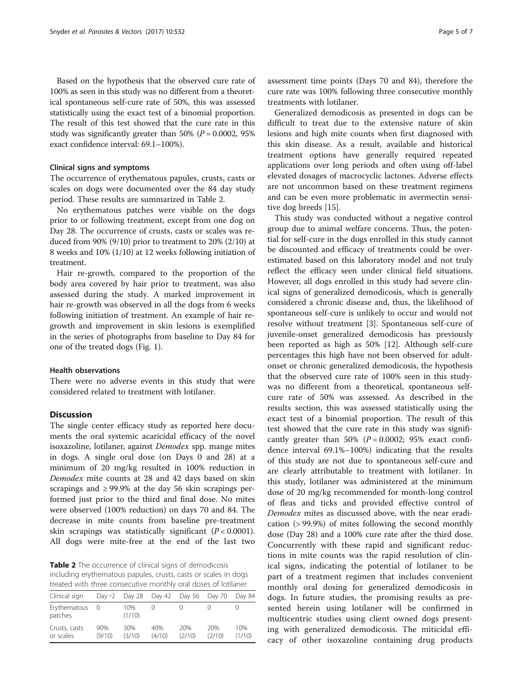Based on the hypothesis that the observed cure rate of 100% as seen in this study was no different from a theoretical spontaneous self-cure rate of 50%, this was assessed statistically using the exact test of a binomial proportion. The result of this test showed that the cure rate in this study was significantly greater than 50% ( $P = 0.0002$ , 95% exact confidence interval: 69.1–100%).

# Clinical signs and symptoms

The occurrence of erythematous papules, crusts, casts or scales on dogs were documented over the 84 day study period. These results are summarized in Table 2.

No erythematous patches were visible on the dogs prior to or following treatment, except from one dog on Day 28. The occurrence of crusts, casts or scales was reduced from 90% (9/10) prior to treatment to 20% (2/10) at 8 weeks and 10% (1/10) at 12 weeks following initiation of treatment.

Hair re-growth, compared to the proportion of the body area covered by hair prior to treatment, was also assessed during the study. A marked improvement in hair re-growth was observed in all the dogs from 6 weeks following initiation of treatment. An example of hair regrowth and improvement in skin lesions is exemplified in the series of photographs from baseline to Day 84 for one of the treated dogs (Fig. [1\)](#page-5-0).

# Health observations

There were no adverse events in this study that were considered related to treatment with lotilaner.

# **Discussion**

The single center efficacy study as reported here documents the oral systemic acaricidal efficacy of the novel isoxazoline, lotilaner, against Demodex spp. mange mites in dogs. A single oral dose (on Days 0 and 28) at a minimum of 20 mg/kg resulted in 100% reduction in Demodex mite counts at 28 and 42 days based on skin scrapings and  $\geq$  99.9% at the day 56 skin scrapings performed just prior to the third and final dose. No mites were observed (100% reduction) on days 70 and 84. The decrease in mite counts from baseline pre-treatment skin scrapings was statistically significant  $(P < 0.0001)$ . All dogs were mite-free at the end of the last two

Table 2 The occurrence of clinical signs of demodicosis including erythematous papules, crusts, casts or scales in dogs treated with three consecutive monthly oral doses of lotilaner

| Clinical sign              | Day $-2$      | Day 28        | Day 42        | Day 56        | Day 70        | Day 84        |
|----------------------------|---------------|---------------|---------------|---------------|---------------|---------------|
| Erythematous<br>patches    |               | 10%<br>(1/10) |               |               |               |               |
| Crusts, casts<br>or scales | 90%<br>(9/10) | 30%<br>(3/10) | 40%<br>(4/10) | 20%<br>(2/10) | 20%<br>(2/10) | 10%<br>(1/10) |

assessment time points (Days 70 and 84), therefore the cure rate was 100% following three consecutive monthly treatments with lotilaner.

Generalized demodicosis as presented in dogs can be difficult to treat due to the extensive nature of skin lesions and high mite counts when first diagnosed with this skin disease. As a result, available and historical treatment options have generally required repeated applications over long periods and often using off-label elevated dosages of macrocyclic lactones. Adverse effects are not uncommon based on these treatment regimens and can be even more problematic in avermectin sensitive dog breeds [[15\]](#page-6-0).

This study was conducted without a negative control group due to animal welfare concerns. Thus, the potential for self-cure in the dogs enrolled in this study cannot be discounted and efficacy of treatments could be overestimated based on this laboratory model and not truly reflect the efficacy seen under clinical field situations. However, all dogs enrolled in this study had severe clinical signs of generalized demodicosis, which is generally considered a chronic disease and, thus, the likelihood of spontaneous self-cure is unlikely to occur and would not resolve without treatment [\[3](#page-6-0)]. Spontaneous self-cure of juvenile-onset generalized demodicosis has previously been reported as high as 50% [[12\]](#page-6-0). Although self-cure percentages this high have not been observed for adultonset or chronic generalized demodicosis, the hypothesis that the observed cure rate of 100% seen in this studywas no different from a theoretical, spontaneous selfcure rate of 50% was assessed. As described in the results section, this was assessed statistically using the exact test of a binomial proportion. The result of this test showed that the cure rate in this study was significantly greater than 50% ( $P = 0.0002$ ; 95% exact confidence interval 69.1%–100%) indicating that the results of this study are not due to spontaneous self-cure and are clearly attributable to treatment with lotilaner. In this study, lotilaner was administered at the minimum dose of 20 mg/kg recommended for month-long control of fleas and ticks and provided effective control of Demodex mites as discussed above, with the near eradication (> 99.9%) of mites following the second monthly dose (Day 28) and a 100% cure rate after the third dose. Concurrently with these rapid and significant reductions in mite counts was the rapid resolution of clinical signs, indicating the potential of lotilaner to be part of a treatment regimen that includes convenient monthly oral dosing for generalized demodicosis in dogs. In future studies, the promising results as presented herein using lotilaner will be confirmed in multicentric studies using client owned dogs presenting with generalized demodicosis. The miticidal efficacy of other isoxazoline containing drug products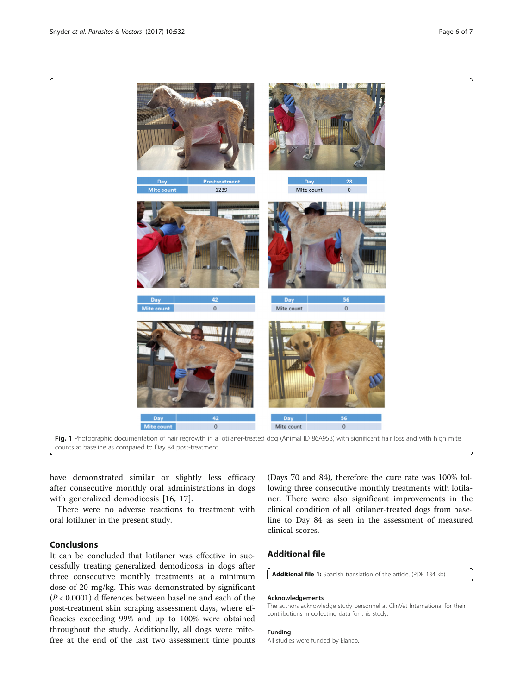<span id="page-5-0"></span>

have demonstrated similar or slightly less efficacy after consecutive monthly oral administrations in dogs with generalized demodicosis [\[16](#page-6-0), [17](#page-6-0)].

There were no adverse reactions to treatment with oral lotilaner in the present study.

# Conclusions

It can be concluded that lotilaner was effective in successfully treating generalized demodicosis in dogs after three consecutive monthly treatments at a minimum dose of 20 mg/kg. This was demonstrated by significant  $(P < 0.0001)$  differences between baseline and each of the post-treatment skin scraping assessment days, where efficacies exceeding 99% and up to 100% were obtained throughout the study. Additionally, all dogs were mitefree at the end of the last two assessment time points

(Days 70 and 84), therefore the cure rate was 100% following three consecutive monthly treatments with lotilaner. There were also significant improvements in the clinical condition of all lotilaner-treated dogs from baseline to Day 84 as seen in the assessment of measured clinical scores.

# Additional file

[Additional file 1:](dx.doi.org/10.1186/s13071-017-2472-2) Spanish translation of the article. (PDF 134 kb)

# Acknowledgements

The authors acknowledge study personnel at ClinVet International for their contributions in collecting data for this study.

# Funding

All studies were funded by Elanco.